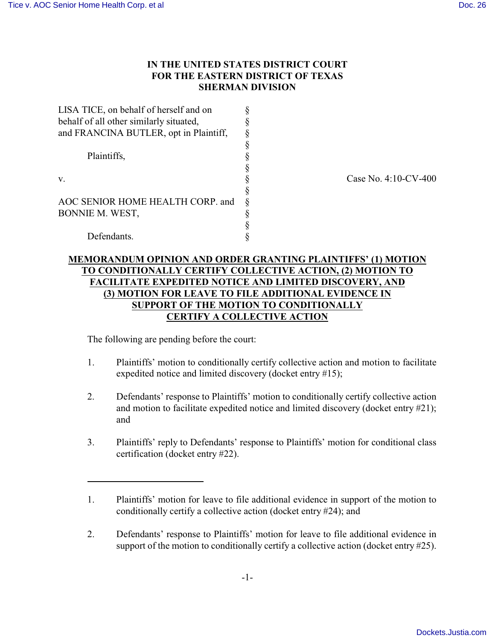$\overline{a}$ 

# **IN THE UNITED STATES DISTRICT COURT FOR THE EASTERN DISTRICT OF TEXAS SHERMAN DIVISION**

| LISA TICE, on behalf of herself and on  |   |
|-----------------------------------------|---|
| behalf of all other similarly situated, |   |
| and FRANCINA BUTLER, opt in Plaintiff,  | § |
|                                         | ş |
| Plaintiffs,<br>v.                       |   |
|                                         |   |
|                                         |   |
|                                         | § |
| AOC SENIOR HOME HEALTH CORP. and        | ş |
| BONNIE M. WEST,                         | ş |
|                                         |   |
| Defendants.                             |   |

Case No. 4:10-CV-400

# **MEMORANDUM OPINION AND ORDER GRANTING PLAINTIFFS' (1) MOTION TO CONDITIONALLY CERTIFY COLLECTIVE ACTION, (2) MOTION TO FACILITATE EXPEDITED NOTICE AND LIMITED DISCOVERY, AND (3) MOTION FOR LEAVE TO FILE ADDITIONAL EVIDENCE IN SUPPORT OF THE MOTION TO CONDITIONALLY CERTIFY A COLLECTIVE ACTION**

The following are pending before the court:

- 1. Plaintiffs' motion to conditionally certify collective action and motion to facilitate expedited notice and limited discovery (docket entry #15);
- 2. Defendants' response to Plaintiffs' motion to conditionally certify collective action and motion to facilitate expedited notice and limited discovery (docket entry #21); and
- 3. Plaintiffs' reply to Defendants' response to Plaintiffs' motion for conditional class certification (docket entry #22).

<sup>1.</sup> Plaintiffs' motion for leave to file additional evidence in support of the motion to conditionally certify a collective action (docket entry #24); and

<sup>2.</sup> Defendants' response to Plaintiffs' motion for leave to file additional evidence in support of the motion to conditionally certify a collective action (docket entry #25).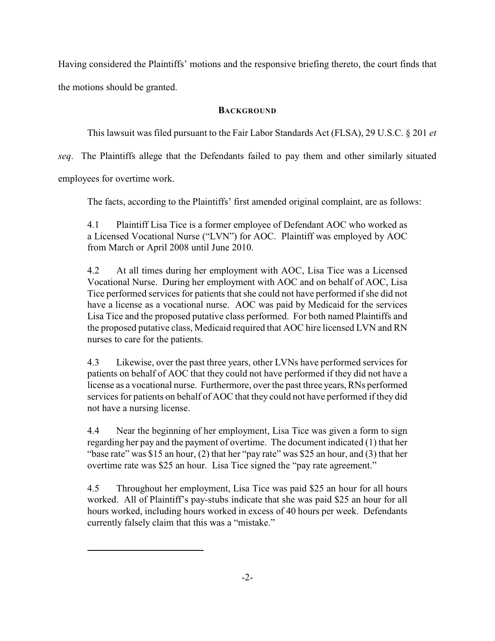Having considered the Plaintiffs' motions and the responsive briefing thereto, the court finds that the motions should be granted.

### **BACKGROUND**

This lawsuit was filed pursuant to the Fair Labor Standards Act (FLSA), 29 U.S.C. § 201 *et*

*seq*. The Plaintiffs allege that the Defendants failed to pay them and other similarly situated

employees for overtime work.

l

The facts, according to the Plaintiffs' first amended original complaint, are as follows:

4.1 Plaintiff Lisa Tice is a former employee of Defendant AOC who worked as a Licensed Vocational Nurse ("LVN") for AOC. Plaintiff was employed by AOC from March or April 2008 until June 2010.

4.2 At all times during her employment with AOC, Lisa Tice was a Licensed Vocational Nurse. During her employment with AOC and on behalf of AOC, Lisa Tice performed services for patients that she could not have performed if she did not have a license as a vocational nurse. AOC was paid by Medicaid for the services Lisa Tice and the proposed putative class performed. For both named Plaintiffs and the proposed putative class, Medicaid required that AOC hire licensed LVN and RN nurses to care for the patients.

4.3 Likewise, over the past three years, other LVNs have performed services for patients on behalf of AOC that they could not have performed if they did not have a license as a vocational nurse. Furthermore, over the past three years, RNs performed services for patients on behalf of AOC that they could not have performed if they did not have a nursing license.

4.4 Near the beginning of her employment, Lisa Tice was given a form to sign regarding her pay and the payment of overtime. The document indicated (1) that her "base rate" was \$15 an hour, (2) that her "pay rate" was \$25 an hour, and (3) that her overtime rate was \$25 an hour. Lisa Tice signed the "pay rate agreement."

4.5 Throughout her employment, Lisa Tice was paid \$25 an hour for all hours worked. All of Plaintiff's pay-stubs indicate that she was paid \$25 an hour for all hours worked, including hours worked in excess of 40 hours per week. Defendants currently falsely claim that this was a "mistake."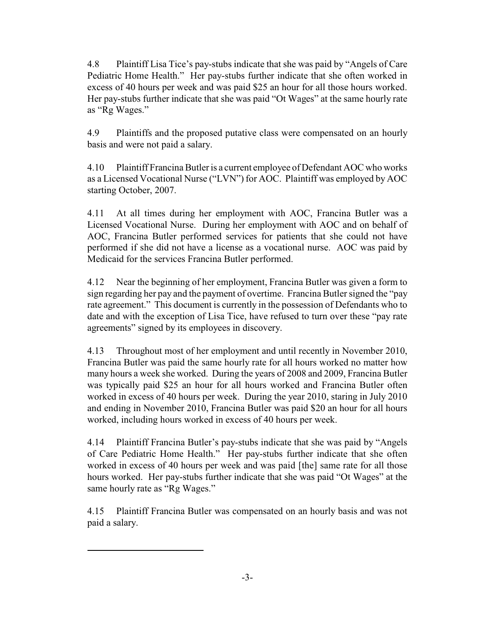4.8 Plaintiff Lisa Tice's pay-stubs indicate that she was paid by "Angels of Care Pediatric Home Health." Her pay-stubs further indicate that she often worked in excess of 40 hours per week and was paid \$25 an hour for all those hours worked. Her pay-stubs further indicate that she was paid "Ot Wages" at the same hourly rate as "Rg Wages."

4.9 Plaintiffs and the proposed putative class were compensated on an hourly basis and were not paid a salary.

4.10 Plaintiff Francina Butler is a current employee of Defendant AOC who works as a Licensed Vocational Nurse ("LVN") for AOC. Plaintiff was employed by AOC starting October, 2007.

4.11 At all times during her employment with AOC, Francina Butler was a Licensed Vocational Nurse. During her employment with AOC and on behalf of AOC, Francina Butler performed services for patients that she could not have performed if she did not have a license as a vocational nurse. AOC was paid by Medicaid for the services Francina Butler performed.

4.12 Near the beginning of her employment, Francina Butler was given a form to sign regarding her pay and the payment of overtime. Francina Butler signed the "pay rate agreement." This document is currently in the possession of Defendants who to date and with the exception of Lisa Tice, have refused to turn over these "pay rate agreements" signed by its employees in discovery.

4.13 Throughout most of her employment and until recently in November 2010, Francina Butler was paid the same hourly rate for all hours worked no matter how many hours a week she worked. During the years of 2008 and 2009, Francina Butler was typically paid \$25 an hour for all hours worked and Francina Butler often worked in excess of 40 hours per week. During the year 2010, staring in July 2010 and ending in November 2010, Francina Butler was paid \$20 an hour for all hours worked, including hours worked in excess of 40 hours per week.

4.14 Plaintiff Francina Butler's pay-stubs indicate that she was paid by "Angels of Care Pediatric Home Health." Her pay-stubs further indicate that she often worked in excess of 40 hours per week and was paid [the] same rate for all those hours worked. Her pay-stubs further indicate that she was paid "Ot Wages" at the same hourly rate as "Rg Wages."

4.15 Plaintiff Francina Butler was compensated on an hourly basis and was not paid a salary.

l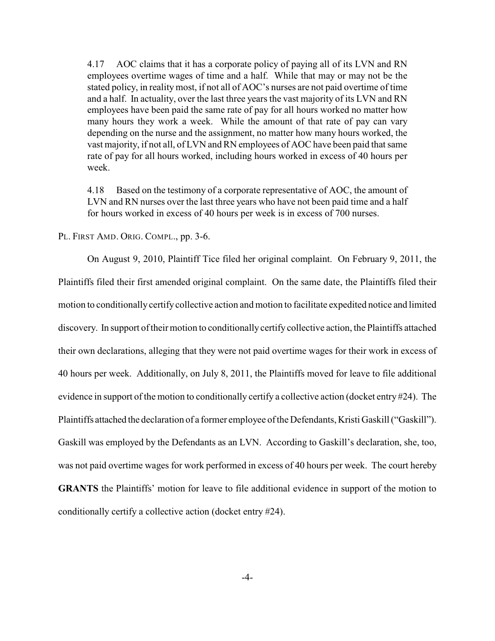4.17 AOC claims that it has a corporate policy of paying all of its LVN and RN employees overtime wages of time and a half. While that may or may not be the stated policy, in reality most, if not all of AOC's nurses are not paid overtime of time and a half. In actuality, over the last three years the vast majority of its LVN and RN employees have been paid the same rate of pay for all hours worked no matter how many hours they work a week. While the amount of that rate of pay can vary depending on the nurse and the assignment, no matter how many hours worked, the vast majority, if not all, of LVN and RN employees of AOC have been paid that same rate of pay for all hours worked, including hours worked in excess of 40 hours per week.

4.18 Based on the testimony of a corporate representative of AOC, the amount of LVN and RN nurses over the last three years who have not been paid time and a half for hours worked in excess of 40 hours per week is in excess of 700 nurses.

PL. FIRST AMD. ORIG. COMPL., pp. 3-6.

On August 9, 2010, Plaintiff Tice filed her original complaint. On February 9, 2011, the Plaintiffs filed their first amended original complaint. On the same date, the Plaintiffs filed their motion to conditionally certify collective action and motion to facilitate expedited notice and limited discovery. In support of their motion to conditionally certify collective action, the Plaintiffs attached their own declarations, alleging that they were not paid overtime wages for their work in excess of 40 hours per week. Additionally, on July 8, 2011, the Plaintiffs moved for leave to file additional evidence in support of the motion to conditionally certify a collective action (docket entry #24). The Plaintiffs attached the declaration of a former employee of the Defendants, Kristi Gaskill ("Gaskill"). Gaskill was employed by the Defendants as an LVN. According to Gaskill's declaration, she, too, was not paid overtime wages for work performed in excess of 40 hours per week. The court hereby **GRANTS** the Plaintiffs' motion for leave to file additional evidence in support of the motion to conditionally certify a collective action (docket entry #24).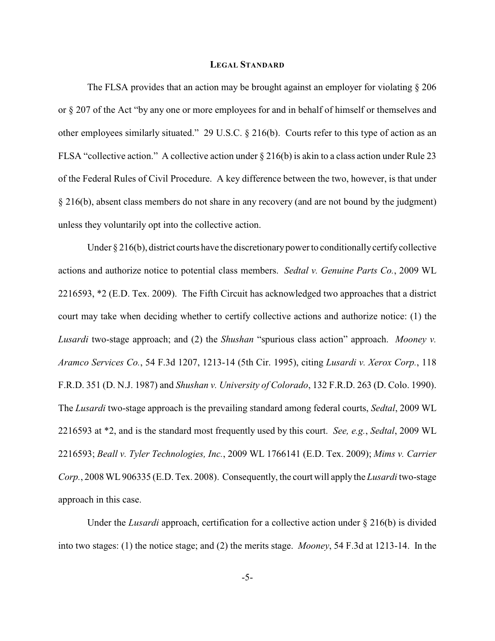#### **LEGAL STANDARD**

The FLSA provides that an action may be brought against an employer for violating § 206 or § 207 of the Act "by any one or more employees for and in behalf of himself or themselves and other employees similarly situated." 29 U.S.C. § 216(b). Courts refer to this type of action as an FLSA "collective action." A collective action under § 216(b) is akin to a class action under Rule 23 of the Federal Rules of Civil Procedure. A key difference between the two, however, is that under § 216(b), absent class members do not share in any recovery (and are not bound by the judgment) unless they voluntarily opt into the collective action.

Under § 216(b), district courts have the discretionary power to conditionally certify collective actions and authorize notice to potential class members. *Sedtal v. Genuine Parts Co.*, 2009 WL 2216593, \*2 (E.D. Tex. 2009). The Fifth Circuit has acknowledged two approaches that a district court may take when deciding whether to certify collective actions and authorize notice: (1) the *Lusardi* two-stage approach; and (2) the *Shushan* "spurious class action" approach. *Mooney v. Aramco Services Co.*, 54 F.3d 1207, 1213-14 (5th Cir. 1995), citing *Lusardi v. Xerox Corp.*, 118 F.R.D. 351 (D. N.J. 1987) and *Shushan v. University of Colorado*, 132 F.R.D. 263 (D. Colo. 1990). The *Lusardi* two-stage approach is the prevailing standard among federal courts, *Sedtal*, 2009 WL 2216593 at \*2, and is the standard most frequently used by this court. *See, e.g.*, *Sedtal*, 2009 WL 2216593; *Beall v. Tyler Technologies, Inc.*, 2009 WL 1766141 (E.D. Tex. 2009); *Mims v. Carrier Corp.*, 2008 WL 906335 (E.D. Tex. 2008). Consequently, the court will apply the *Lusardi* two-stage approach in this case.

Under the *Lusardi* approach, certification for a collective action under § 216(b) is divided into two stages: (1) the notice stage; and (2) the merits stage. *Mooney*, 54 F.3d at 1213-14. In the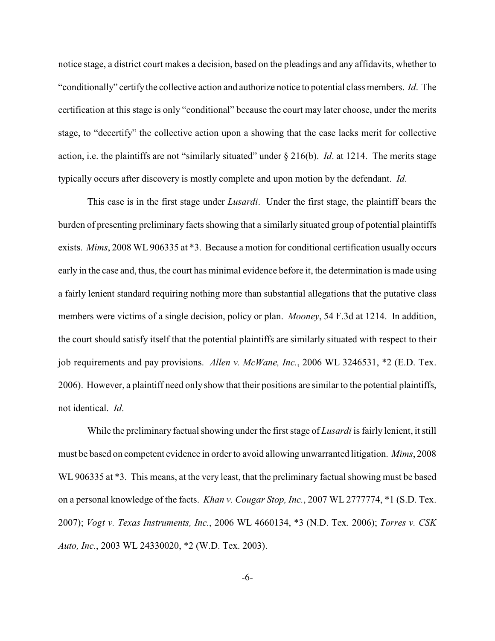notice stage, a district court makes a decision, based on the pleadings and any affidavits, whether to "conditionally" certify the collective action and authorize notice to potential class members. *Id*. The certification at this stage is only "conditional" because the court may later choose, under the merits stage, to "decertify" the collective action upon a showing that the case lacks merit for collective action, i.e. the plaintiffs are not "similarly situated" under § 216(b). *Id*. at 1214. The merits stage typically occurs after discovery is mostly complete and upon motion by the defendant. *Id*.

This case is in the first stage under *Lusardi*. Under the first stage, the plaintiff bears the burden of presenting preliminary facts showing that a similarly situated group of potential plaintiffs exists. *Mims*, 2008 WL 906335 at \*3. Because a motion for conditional certification usually occurs early in the case and, thus, the court has minimal evidence before it, the determination is made using a fairly lenient standard requiring nothing more than substantial allegations that the putative class members were victims of a single decision, policy or plan. *Mooney*, 54 F.3d at 1214. In addition, the court should satisfy itself that the potential plaintiffs are similarly situated with respect to their job requirements and pay provisions. *Allen v. McWane, Inc.*, 2006 WL 3246531, \*2 (E.D. Tex. 2006). However, a plaintiff need only show that their positions are similar to the potential plaintiffs, not identical. *Id*.

While the preliminary factual showing under the first stage of *Lusardi* is fairly lenient, it still must be based on competent evidence in order to avoid allowing unwarranted litigation. *Mims*, 2008 WL 906335 at  $*3$ . This means, at the very least, that the preliminary factual showing must be based on a personal knowledge of the facts. *Khan v. Cougar Stop, Inc.*, 2007 WL 2777774, \*1 (S.D. Tex. 2007); *Vogt v. Texas Instruments, Inc.*, 2006 WL 4660134, \*3 (N.D. Tex. 2006); *Torres v. CSK Auto, Inc.*, 2003 WL 24330020, \*2 (W.D. Tex. 2003).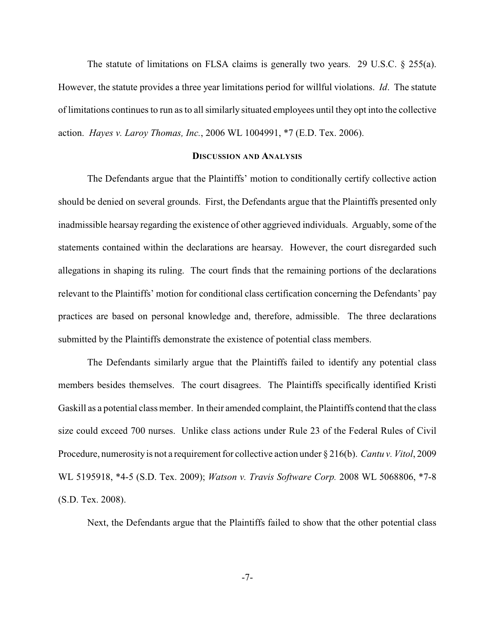The statute of limitations on FLSA claims is generally two years. 29 U.S.C. § 255(a). However, the statute provides a three year limitations period for willful violations. *Id*. The statute of limitations continues to run as to all similarly situated employees until they opt into the collective action. *Hayes v. Laroy Thomas, Inc.*, 2006 WL 1004991, \*7 (E.D. Tex. 2006).

#### **DISCUSSION AND ANALYSIS**

The Defendants argue that the Plaintiffs' motion to conditionally certify collective action should be denied on several grounds. First, the Defendants argue that the Plaintiffs presented only inadmissible hearsay regarding the existence of other aggrieved individuals. Arguably, some of the statements contained within the declarations are hearsay. However, the court disregarded such allegations in shaping its ruling. The court finds that the remaining portions of the declarations relevant to the Plaintiffs' motion for conditional class certification concerning the Defendants' pay practices are based on personal knowledge and, therefore, admissible. The three declarations submitted by the Plaintiffs demonstrate the existence of potential class members.

The Defendants similarly argue that the Plaintiffs failed to identify any potential class members besides themselves. The court disagrees. The Plaintiffs specifically identified Kristi Gaskill as a potential class member. In their amended complaint, the Plaintiffs contend that the class size could exceed 700 nurses. Unlike class actions under Rule 23 of the Federal Rules of Civil Procedure, numerosity is not a requirement for collective action under § 216(b). *Cantu v. Vitol*, 2009 WL 5195918, \*4-5 (S.D. Tex. 2009); *Watson v. Travis Software Corp.* 2008 WL 5068806, \*7-8 (S.D. Tex. 2008).

Next, the Defendants argue that the Plaintiffs failed to show that the other potential class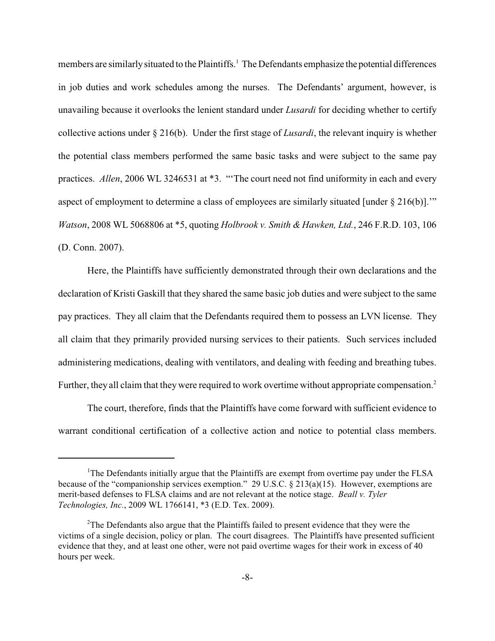members are similarly situated to the Plaintiffs.<sup>1</sup> The Defendants emphasize the potential differences in job duties and work schedules among the nurses. The Defendants' argument, however, is unavailing because it overlooks the lenient standard under *Lusardi* for deciding whether to certify collective actions under § 216(b). Under the first stage of *Lusardi*, the relevant inquiry is whether the potential class members performed the same basic tasks and were subject to the same pay practices. *Allen*, 2006 WL 3246531 at \*3. "The court need not find uniformity in each and every aspect of employment to determine a class of employees are similarly situated [under § 216(b)].'" *Watson*, 2008 WL 5068806 at \*5, quoting *Holbrook v. Smith & Hawken, Ltd.*, 246 F.R.D. 103, 106 (D. Conn. 2007).

Here, the Plaintiffs have sufficiently demonstrated through their own declarations and the declaration of Kristi Gaskill that they shared the same basic job duties and were subject to the same pay practices. They all claim that the Defendants required them to possess an LVN license. They all claim that they primarily provided nursing services to their patients. Such services included administering medications, dealing with ventilators, and dealing with feeding and breathing tubes. Further, they all claim that they were required to work overtime without appropriate compensation.<sup>2</sup>

The court, therefore, finds that the Plaintiffs have come forward with sufficient evidence to warrant conditional certification of a collective action and notice to potential class members.

<sup>&</sup>lt;sup>1</sup>The Defendants initially argue that the Plaintiffs are exempt from overtime pay under the FLSA because of the "companionship services exemption." 29 U.S.C. § 213(a)(15). However, exemptions are merit-based defenses to FLSA claims and are not relevant at the notice stage. *Beall v. Tyler Technologies, Inc.*, 2009 WL 1766141, \*3 (E.D. Tex. 2009).

 $2^2$ The Defendants also argue that the Plaintiffs failed to present evidence that they were the victims of a single decision, policy or plan. The court disagrees. The Plaintiffs have presented sufficient evidence that they, and at least one other, were not paid overtime wages for their work in excess of 40 hours per week.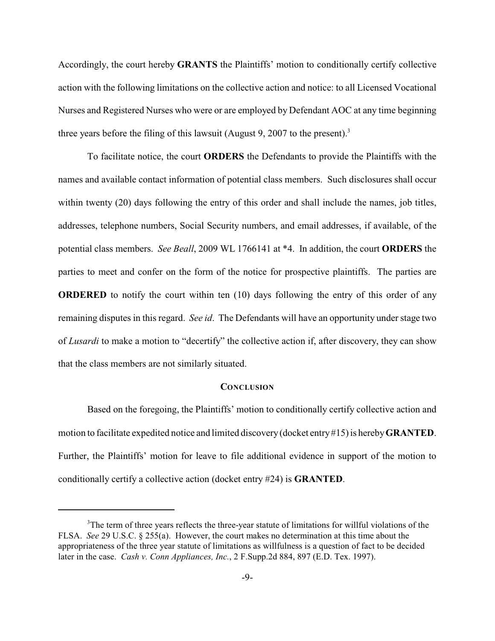Accordingly, the court hereby **GRANTS** the Plaintiffs' motion to conditionally certify collective action with the following limitations on the collective action and notice: to all Licensed Vocational Nurses and Registered Nurses who were or are employed by Defendant AOC at any time beginning three years before the filing of this lawsuit (August 9, 2007 to the present).<sup>3</sup>

To facilitate notice, the court **ORDERS** the Defendants to provide the Plaintiffs with the names and available contact information of potential class members. Such disclosures shall occur within twenty (20) days following the entry of this order and shall include the names, job titles, addresses, telephone numbers, Social Security numbers, and email addresses, if available, of the potential class members. *See Beall*, 2009 WL 1766141 at \*4. In addition, the court **ORDERS** the parties to meet and confer on the form of the notice for prospective plaintiffs. The parties are **ORDERED** to notify the court within ten (10) days following the entry of this order of any remaining disputes in this regard. *See id*. The Defendants will have an opportunity under stage two of *Lusardi* to make a motion to "decertify" the collective action if, after discovery, they can show that the class members are not similarly situated.

#### **CONCLUSION**

Based on the foregoing, the Plaintiffs' motion to conditionally certify collective action and motion to facilitate expedited notice and limited discovery (docket entry #15) is hereby **GRANTED**. Further, the Plaintiffs' motion for leave to file additional evidence in support of the motion to conditionally certify a collective action (docket entry #24) is **GRANTED**.

<sup>&</sup>lt;sup>3</sup>The term of three years reflects the three-year statute of limitations for willful violations of the FLSA. *See* 29 U.S.C. § 255(a). However, the court makes no determination at this time about the appropriateness of the three year statute of limitations as willfulness is a question of fact to be decided later in the case. *Cash v. Conn Appliances, Inc.*, 2 F.Supp.2d 884, 897 (E.D. Tex. 1997).